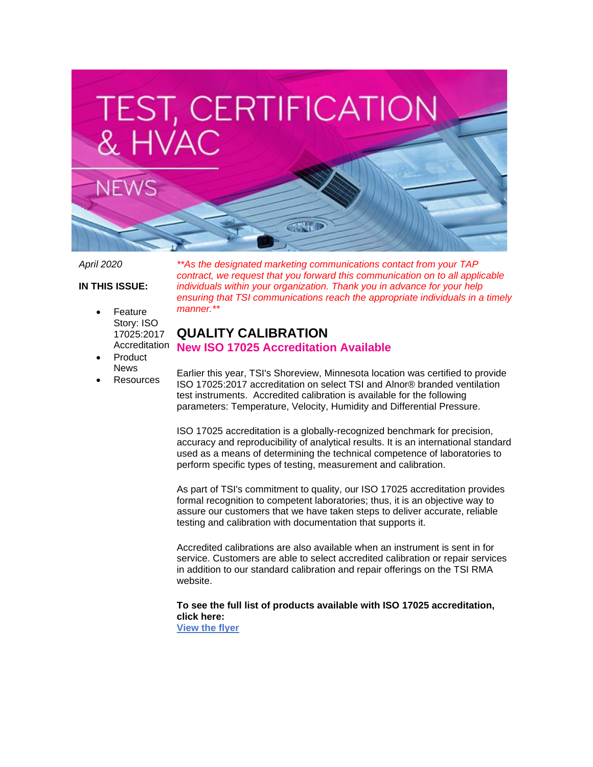

*April 2020*

**IN THIS ISSUE:**

- **Feature** Story: ISO 17025:2017
- Product News
- **Resources**

*\*\*As the designated marketing communications contact from your TAP contract, we request that you forward this communication on to all applicable individuals within your organization. Thank you in advance for your help ensuring that TSI communications reach the appropriate individuals in a timely manner.\*\**

# Accreditation **New ISO 17025 Accreditation Available QUALITY CALIBRATION**

Earlier this year, TSI's Shoreview, Minnesota location was certified to provide ISO 17025:2017 accreditation on select TSI and Alnor® branded ventilation test instruments. Accredited calibration is available for the following parameters: Temperature, Velocity, Humidity and Differential Pressure.

ISO 17025 accreditation is a globally-recognized benchmark for precision, accuracy and reproducibility of analytical results. It is an international standard used as a means of determining the technical competence of laboratories to perform specific types of testing, measurement and calibration.

As part of TSI's commitment to quality, our ISO 17025 accreditation provides formal recognition to competent laboratories; thus, it is an objective way to assure our customers that we have taken steps to deliver accurate, reliable testing and calibration with documentation that supports it.

Accredited calibrations are also available when an instrument is sent in for service. Customers are able to select accredited calibration or repair services in addition to our standard calibration and repair offerings on the TSI RMA website.

**To see the full list of products available with ISO 17025 accreditation, click here: [View the flyer](https://cl.s6.exct.net/?qs=b58349a614f763246a691f248d5660956198ba3bafd9932dd3d486e78cfc44076fe92dcc2f107e05ffd6d72f777793f81977040fb22c4e50)**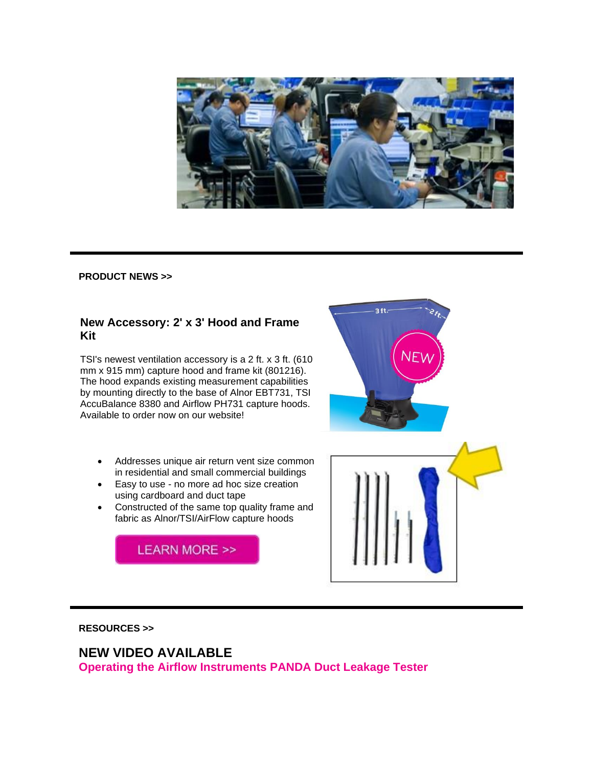

#### **PRODUCT NEWS >>**

### **New Accessory: 2' x 3' Hood and Frame Kit**

TSI's newest ventilation accessory is a 2 ft. x 3 ft. (610 mm x 915 mm) capture hood and frame kit (801216). The hood expands existing measurement capabilities by mounting directly to the base of Alnor EBT731, TSI AccuBalance 8380 and Airflow PH731 capture hoods. Available to order now on our website!

- Addresses unique air return vent size common in residential and small commercial buildings
- Easy to use no more ad hoc size creation using cardboard and duct tape
- Constructed of the same top quality frame and fabric as Alnor/TSI/AirFlow capture hoods

**LEARN MORE >>** 



#### **RESOURCES >>**

# **NEW VIDEO AVAILABLE**

**Operating the Airflow Instruments PANDA Duct Leakage Tester**